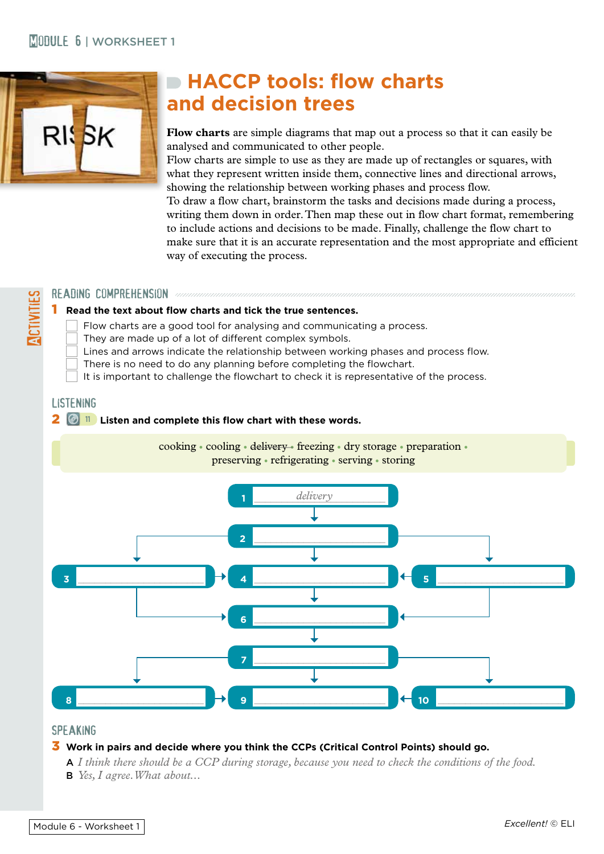### **MORKSHEET 1**



# **HACCP tools: flow charts and decision trees**

**Flow charts** are simple diagrams that map out a process so that it can easily be analysed and communicated to other people.

Flow charts are simple to use as they are made up of rectangles or squares, with what they represent written inside them, connective lines and directional arrows, showing the relationship between working phases and process flow.

To draw a flow chart, brainstorm the tasks and decisions made during a process, writing them down in order. Then map these out in flow chart format, remembering to include actions and decisions to be made. Finally, challenge the flow chart to make sure that it is an accurate representation and the most appropriate and efficient way of executing the process.

#### READING COMPREHENSION announcemental components

#### 1 **Read the text about flow charts and tick the true sentences.**

Flow charts are a good tool for analysing and communicating a process.

They are made up of a lot of different complex symbols.

- Lines and arrows indicate the relationship between working phases and process flow.
- There is no need to do any planning before completing the flowchart.
- It is important to challenge the flowchart to check it is representative of the process.

#### **LISTENING**

**ACTIVITIES** 

#### 2 **<sup>11</sup> Listen and complete this flow chart with these words.**



#### **SPEAKING**

#### 3 **Work in pairs and decide where you think the CCPs (Critical Control Points) should go.**

A *I think there should be a CCP during storage, because you need to check the conditions of the food.*

B *Yes, I agree. What about...*